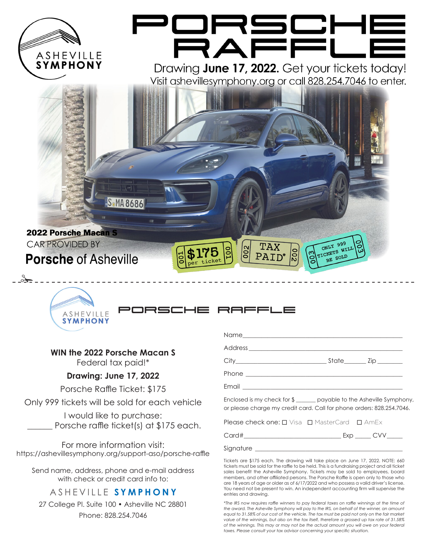

porsche raffle



### **WIN the 2022 Porsche Macan S**

Federal tax paid!\*

### **Drawing: June 17, 2022**

Porsche Raffle Ticket: \$175

Only 999 tickets will be sold for each vehicle

I would like to purchase: Porsche raffle ticket(s) at \$175 each.

For more information visit: https://ashevillesymphony.org/support-aso/porsche-raffle

Send name, address, phone and e-mail address with check or credit card info to:

## ASHEVILLE **SYMPHONY**

27 College Pl. Suite 100 • Asheville NC 28801 Phone: 828.254.7046

| State_______Zip_______ |  |
|------------------------|--|
|                        |  |

Email  $\equiv$ 

Enclosed is my check for \$ \_\_\_\_\_\_\_ payable to the Asheville Symphony, or please charge my credit card. Call for phone orders: 828.254.7046.

Please check one:  $\square$  Visa  $\square$  MasterCard  $\square$  AmEx

| $\subset$ |  |  |  |
|-----------|--|--|--|
|           |  |  |  |

Signature \_

Tickets are \$175 each. The drawing will take place on June 17, 2022. NOTE: 660 tickets must be sold for the raffle to be held. This is a fundraising project and all ticket sales benefit the Asheville Symphony. Tickets may be sold to employees, board members, and other affiliated persons. The Porsche Raffle is open only to those who are 18 years of age or older as of 6/17/2022 and who possess a valid driver's license. You need not be present to win. An independent accounting firm will supervise the entries and drawing.

*\*The IRS now requires raffle winners to pay federal taxes on raffle winnings at the time of the award. The Asheville Symphony will pay to the IRS, on behalf of the winner, an amount equal to 31.58% of our cost of the vehicle. The tax must be paid not only on the fair market value of the winnings, but also on the tax itself, therefore a grossed up tax rate of 31.58% of the winnings. This may or may not be the actual amount you will owe on your federal taxes. Please consult your tax advisor concerning your specific situation.*